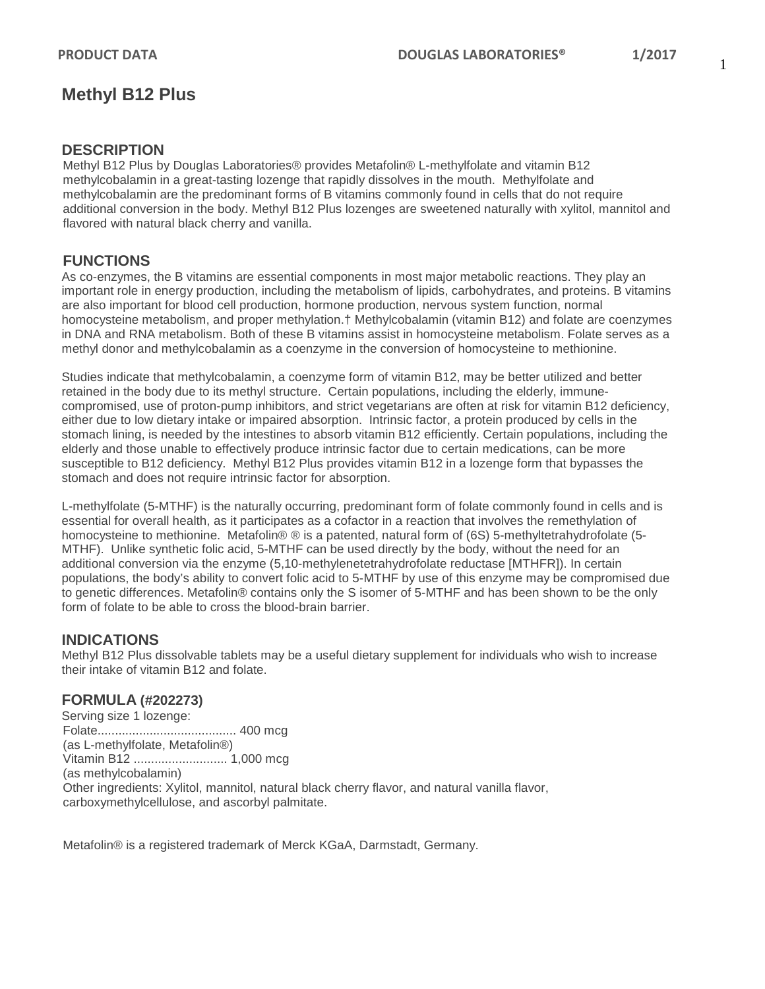# **Methyl B12 Plus**

### **DESCRIPTION**

Methyl B12 Plus by Douglas Laboratories® provides Metafolin® L-methylfolate and vitamin B12 methylcobalamin in a great-tasting lozenge that rapidly dissolves in the mouth. Methylfolate and methylcobalamin are the predominant forms of B vitamins commonly found in cells that do not require additional conversion in the body. Methyl B12 Plus lozenges are sweetened naturally with xylitol, mannitol and flavored with natural black cherry and vanilla.

## **FUNCTIONS**

As co-enzymes, the B vitamins are essential components in most major metabolic reactions. They play an important role in energy production, including the metabolism of lipids, carbohydrates, and proteins. B vitamins are also important for blood cell production, hormone production, nervous system function, normal homocysteine metabolism, and proper methylation.† Methylcobalamin (vitamin B12) and folate are coenzymes in DNA and RNA metabolism. Both of these B vitamins assist in homocysteine metabolism. Folate serves as a methyl donor and methylcobalamin as a coenzyme in the conversion of homocysteine to methionine.

Studies indicate that methylcobalamin, a coenzyme form of vitamin B12, may be better utilized and better retained in the body due to its methyl structure. Certain populations, including the elderly, immunecompromised, use of proton-pump inhibitors, and strict vegetarians are often at risk for vitamin B12 deficiency, either due to low dietary intake or impaired absorption. Intrinsic factor, a protein produced by cells in the stomach lining, is needed by the intestines to absorb vitamin B12 efficiently. Certain populations, including the elderly and those unable to effectively produce intrinsic factor due to certain medications, can be more susceptible to B12 deficiency. Methyl B12 Plus provides vitamin B12 in a lozenge form that bypasses the stomach and does not require intrinsic factor for absorption.

L-methylfolate (5-MTHF) is the naturally occurring, predominant form of folate commonly found in cells and is essential for overall health, as it participates as a cofactor in a reaction that involves the remethylation of homocysteine to methionine. Metafolin® ® is a patented, natural form of (6S) 5-methyltetrahydrofolate (5-MTHF). Unlike synthetic folic acid, 5-MTHF can be used directly by the body, without the need for an additional conversion via the enzyme (5,10-methylenetetrahydrofolate reductase [MTHFR]). In certain populations, the body's ability to convert folic acid to 5-MTHF by use of this enzyme may be compromised due to genetic differences. Metafolin® contains only the S isomer of 5-MTHF and has been shown to be the only form of folate to be able to cross the blood-brain barrier.

## **INDICATIONS**

Methyl B12 Plus dissolvable tablets may be a useful dietary supplement for individuals who wish to increase their intake of vitamin B12 and folate.

## **FORMULA (#202273)**

Serving size 1 lozenge: Folate........................................ 400 mcg (as L-methylfolate, Metafolin®) Vitamin B12 ........................... 1,000 mcg (as methylcobalamin) Other ingredients: Xylitol, mannitol, natural black cherry flavor, and natural vanilla flavor, carboxymethylcellulose, and ascorbyl palmitate.

Metafolin® is a registered trademark of Merck KGaA, Darmstadt, Germany.